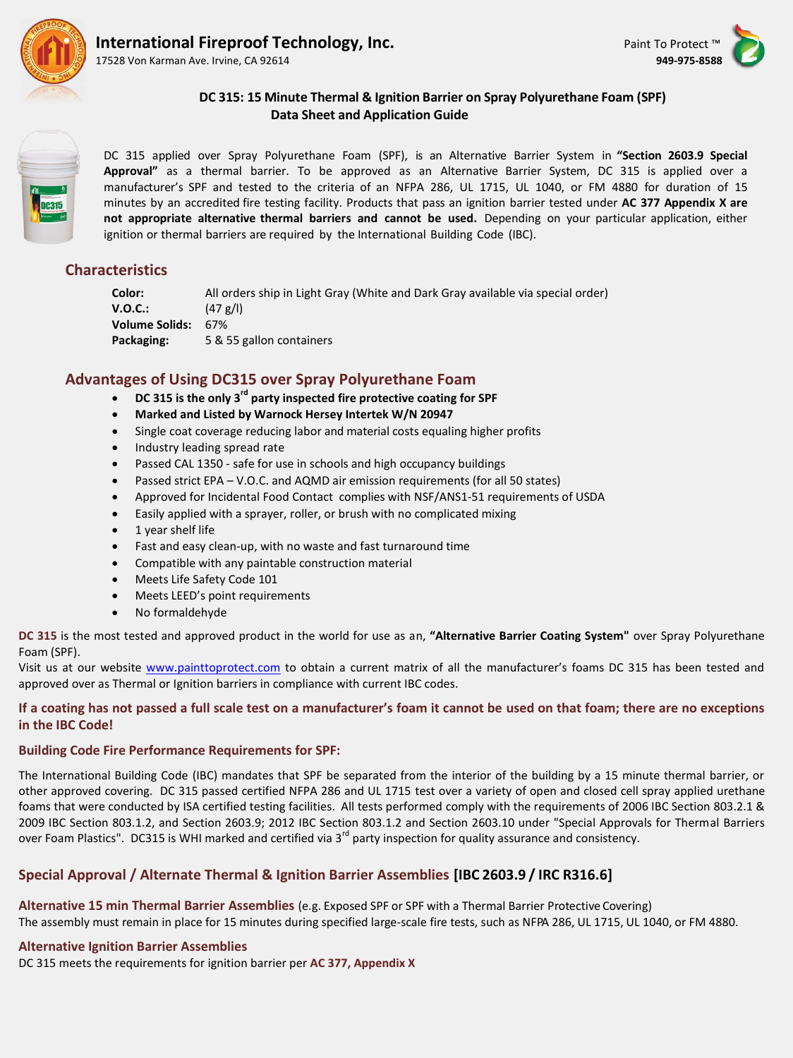

17528 Von Karman Ave. Irvine, CA 92614 **949-975-8588**





**DC 315: 15 Minute Thermal & Ignition Barrier on Spray Polyurethane Foam (SPF) Data Sheet and Application Guide**

DC 315 applied over Spray Polyurethane Foam (SPF), is an Alternative Barrier System in **"Section 2603.9 Special Approval"** as a thermal barrier. To be approved as an Alternative Barrier System, DC 315 is applied over a manufacturer's SPF and tested to the criteria of an NFPA 286, UL 1715, UL 1040, or FM 4880 for duration of 15 minutes by an accredited fire testing facility. Products that pass an ignition barrier tested under **AC 377 Appendix X are not appropriate alternative thermal barriers and cannot be used.** Depending on your particular application, either ignition or thermal barriers are required by the International Building Code (IBC).

# **Characteristics**

**Color:** All orders ship in Light Gray (White and Dark Gray available via special order) **V.O.C.:** (47 g/l) **Volume Solids:** 67% **Packaging:** 5 & 55 gallon containers

# **Advantages of Using DC315 over Spray Polyurethane Foam**

- **DC 315 is the only 3rd party inspected fire protective coating for SPF**
- **Marked and Listed by Warnock Hersey Intertek W/N 20947**
- Single coat coverage reducing labor and material costs equaling higher profits
- Industry leading spread rate
- Passed CAL 1350 safe for use in schools and high occupancy buildings
- Passed strict EPA V.O.C. and AQMD air emission requirements (for all 50 states)
- Approved for Incidental Food Contact complies with NSF/ANS1-51 requirements of USDA
- Easily applied with a sprayer, roller, or brush with no complicated mixing
- 1 year shelf life
- Fast and easy clean-up, with no waste and fast turnaround time
- Compatible with any paintable construction material
- Meets Life Safety Code 101
- Meets LEED's point requirements
- No formaldehyde

**DC 315** is the most tested and approved product in the world for use as an, **"Alternative Barrier Coating System"** over Spray Polyurethane Foam (SPF).

Visit us at our website [www.painttoprotect.com](http://www.painttoprotect.com/) to obtain a current matrix of all the manufacturer's foams DC 315 has been tested and approved over as Thermal or Ignition barriers in compliance with current IBC codes.

## **If a coating has not passed a full scale test on a manufacturer's foam it cannot be used on that foam; there are no exceptions in the IBC Code!**

## **Building Code Fire Performance Requirements for SPF:**

The International Building Code (IBC) mandates that SPF be separated from the interior of the building by a 15 minute thermal barrier, or other approved covering. DC 315 passed certified NFPA 286 and UL 1715 test over a variety of open and closed cell spray applied urethane foams that were conducted by ISA certified testing facilities. All tests performed comply with the requirements of 2006 IBC Section 803.2.1 & 2009 IBC Section 803.1.2, and Section 2603.9; 2012 IBC Section 803.1.2 and Section 2603.10 under "Special Approvals for Thermal Barriers over Foam Plastics". DC315 is WHI marked and certified via 3<sup>rd</sup> party inspection for quality assurance and consistency.

# **Special Approval / Alternate Thermal & Ignition Barrier Assemblies [IBC 2603.9 / IRC R316.6]**

**Alternative 15 min Thermal Barrier Assemblies** (e.g. Exposed SPF or SPF with a Thermal Barrier Protective Covering) The assembly must remain in place for 15 minutes during specified large-scale fire tests, such as NFPA 286, UL 1715, UL 1040, or FM 4880.

## **Alternative Ignition Barrier Assemblies**

DC 315 meets the requirements for ignition barrier per **AC 377, Appendix X**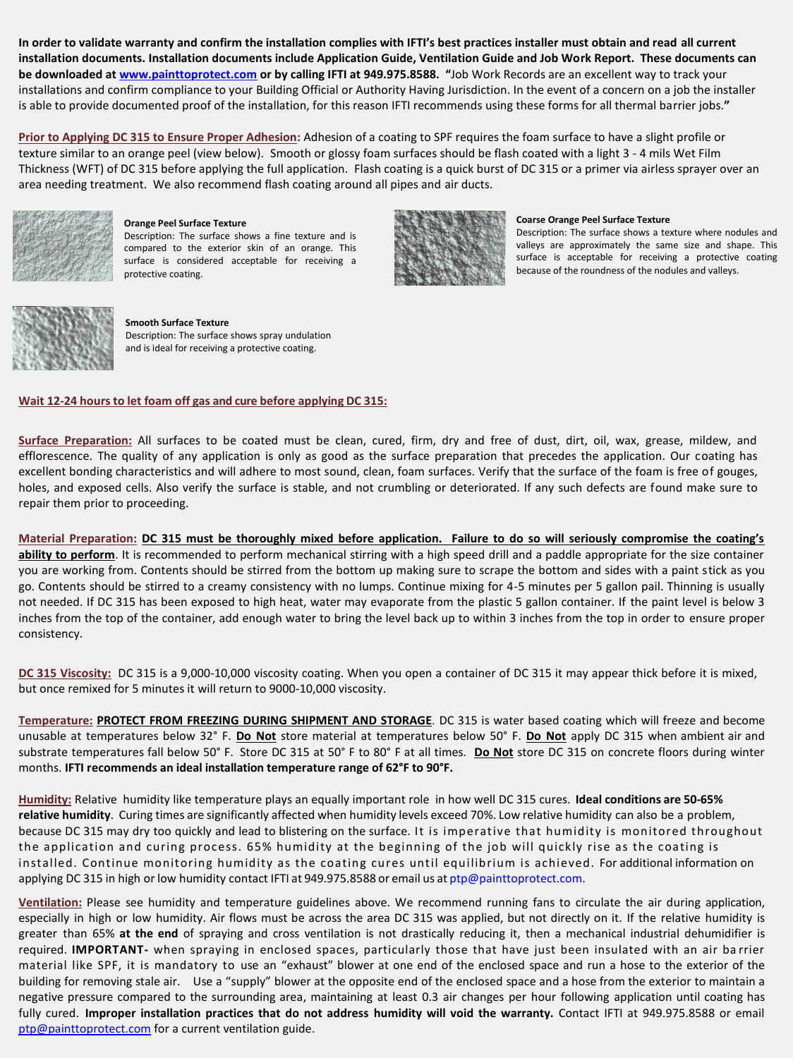**In order to validate warranty and confirm the installation complies with IFTI's best practices installer must obtain and read all current installation documents. Installation documents include Application Guide, Ventilation Guide and Job Work Report. These documents can be downloaded at [www.painttoprotect.com](http://www.painttoprotect.com/) or by calling IFTI at 949.975.8588. "**Job Work Records are an excellent way to track your installations and confirm compliance to your Building Official or Authority Having Jurisdiction. In the event of a concern on a job the installer is able to provide documented proof of the installation, for this reason IFTI recommends using these forms for all thermal barrier jobs.**"**

**Prior to Applying DC 315 to Ensure Proper Adhesion:** Adhesion of a coating to SPF requires the foam surface to have a slight profile or texture similar to an orange peel (view below). Smooth or glossy foam surfaces should be flash coated with a light 3 - 4 mils Wet Film Thickness (WFT) of DC 315 before applying the full application. Flash coating is a quick burst of DC 315 or a primer via airless sprayer over an area needing treatment. We also recommend flash coating around all pipes and air ducts.



**Orange Peel Surface Texture** 

Description: The surface shows a fine texture and is compared to the exterior skin of an orange. This surface is considered acceptable for receiving a protective coating.



### **Coarse Orange Peel Surface Texture**

Description: The surface shows a texture where nodules and valleys are approximately the same size and shape. This surface is acceptable for receiving a protective coating because of the roundness of the nodules and valleys.



**Smooth Surface Texture**  Description: The surface shows spray undulation and is ideal for receiving a protective coating.

### **Wait 12-24 hours to let foam off gas and cure before applying DC 315:**

**Surface Preparation:** All surfaces to be coated must be clean, cured, firm, dry and free of dust, dirt, oil, wax, grease, mildew, and efflorescence. The quality of any application is only as good as the surface preparation that precedes the application. Our coating has excellent bonding characteristics and will adhere to most sound, clean, foam surfaces. Verify that the surface of the foam is free of gouges, holes, and exposed cells. Also verify the surface is stable, and not crumbling or deteriorated. If any such defects are found make sure to repair them prior to proceeding.

**Material Preparation: DC 315 must be thoroughly mixed before application. Failure to do so will seriously compromise the coating's**  ability to perform. It is recommended to perform mechanical stirring with a high speed drill and a paddle appropriate for the size container you are working from. Contents should be stirred from the bottom up making sure to scrape the bottom and sides with a paint stick as you go. Contents should be stirred to a creamy consistency with no lumps. Continue mixing for 4-5 minutes per 5 gallon pail. Thinning is usually not needed. If DC 315 has been exposed to high heat, water may evaporate from the plastic 5 gallon container. If the paint level is below 3 inches from the top of the container, add enough water to bring the level back up to within 3 inches from the top in order to ensure proper consistency.

DC 315 Viscosity: DC 315 is a 9,000-10,000 viscosity coating. When you open a container of DC 315 it may appear thick before it is mixed, but once remixed for 5 minutes it will return to 9000-10,000 viscosity.

**Temperature: PROTECT FROM FREEZING DURING SHIPMENT AND STORAGE**. DC 315 is water based coating which will freeze and become unusable at temperatures below 32° F. **Do Not** store material at temperatures below 50° F. **Do Not** apply DC 315 when ambient air and substrate temperatures fall below 50° F. Store DC 315 at 50° F to 80° F at all times. **Do Not** store DC 315 on concrete floors during winter months. **IFTI recommends an ideal installation temperature range of 62°F to 90°F.**

**Humidity:** Relative humidity like temperature plays an equally important role in how well DC 315 cures. **Ideal conditions are 50-65% relative humidity**. Curing times are significantly affected when humidity levels exceed 70%. Low relative humidity can also be a problem, because DC 315 may dry too quickly and lead to blistering on the surface. It is imperative that humidity is monitored throughout the application and curing process. 65% humidity at the beginning of the job will quickly rise as the coating is installed. Continue monitoring humidity as the coating cures until equilibrium is achieved. For additional information on applying DC 315 in high or low humidity contact IFTI at 949.975.8588 or email us at [ptp@painttoprotect.com.](mailto:ptp@painttoprotect.com)

**Ventilation:** Please see humidity and temperature guidelines above. We recommend running fans to circulate the air during application, especially in high or low humidity. Air flows must be across the area DC 315 was applied, but not directly on it. If the relative humidity is greater than 65% **at the end** of spraying and cross ventilation is not drastically reducing it, then a mechanical industrial dehumidifier is required. **IMPORTANT-** when spraying in enclosed spaces, particularly those that have just been insulated with an air ba rrier material like SPF, it is mandatory to use an "exhaust" blower at one end of the enclosed space and run a hose to the exterior of the building for removing stale air. Use a "supply" blower at the opposite end of the enclosed space and a hose from the exterior to maintain a negative pressure compared to the surrounding area, maintaining at least 0.3 air changes per hour following application until coating has fully cured. **Improper installation practices that do not address humidity will void the warranty.** Contact IFTI at 949.975.8588 or email [ptp@painttoprotect.com](mailto:ptp@painttoprotect.com) for a current ventilation guide.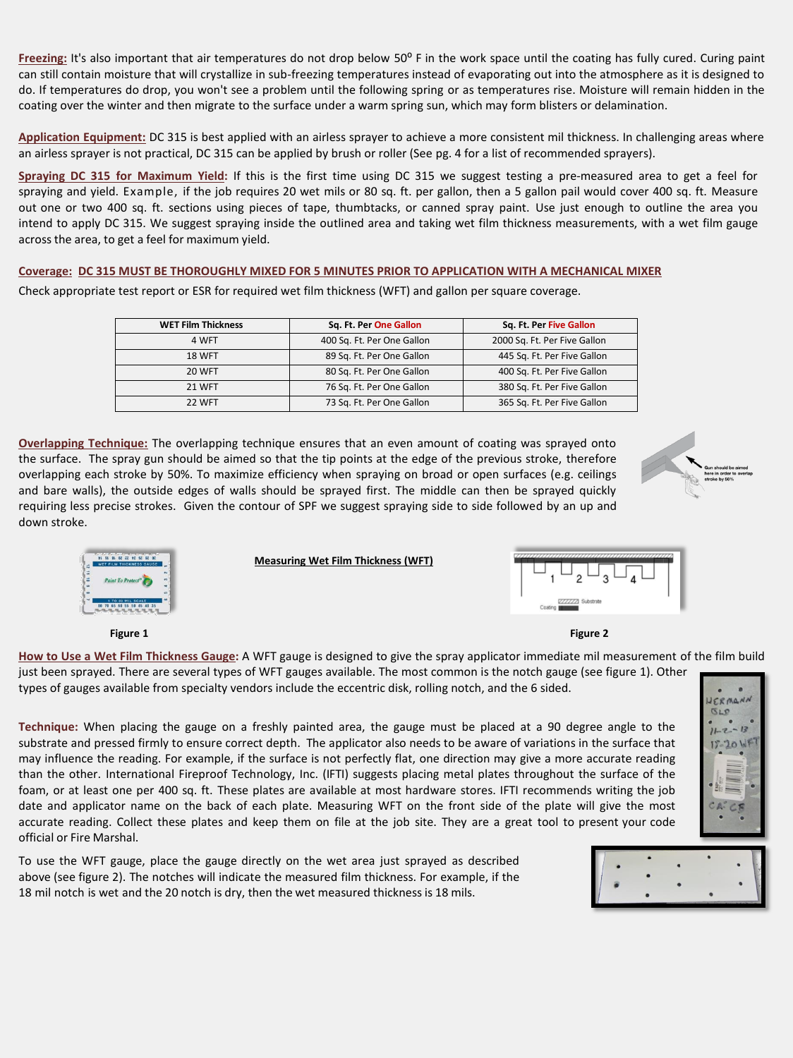Freezing: It's also important that air temperatures do not drop below 50° F in the work space until the coating has fully cured. Curing paint can still contain moisture that will crystallize in sub-freezing temperatures instead of evaporating out into the atmosphere as it is designed to do. If temperatures do drop, you won't see a problem until the following spring or as temperatures rise. Moisture will remain hidden in the coating over the winter and then migrate to the surface under a warm spring sun, which may form blisters or delamination.

**Application Equipment:** DC 315 is best applied with an airless sprayer to achieve a more consistent mil thickness. In challenging areas where an airless sprayer is not practical, DC 315 can be applied by brush or roller (See pg. 4 for a list of recommended sprayers).

**Spraying DC 315 for Maximum Yield:** If this is the first time using DC 315 we suggest testing a pre-measured area to get a feel for spraying and yield. Example, if the job requires 20 wet mils or 80 sq. ft. per gallon, then a 5 gallon pail would cover 400 sq. ft. Measure out one or two 400 sq. ft. sections using pieces of tape, thumbtacks, or canned spray paint. Use just enough to outline the area you intend to apply DC 315. We suggest spraying inside the outlined area and taking wet film thickness measurements, with a wet film gauge across the area, to get a feel for maximum yield.

### **Coverage: DC 315 MUST BE THOROUGHLY MIXED FOR 5 MINUTES PRIOR TO APPLICATION WITH A MECHANICAL MIXER**

Check appropriate test report or ESR for required wet film thickness (WFT) and gallon per square coverage.

| <b>WET Film Thickness</b> | Sq. Ft. Per One Gallon     | Sq. Ft. Per Five Gallon      |
|---------------------------|----------------------------|------------------------------|
| 4 WFT                     | 400 Sq. Ft. Per One Gallon | 2000 Sq. Ft. Per Five Gallon |
| <b>18 WFT</b>             | 89 Sq. Ft. Per One Gallon  | 445 Sq. Ft. Per Five Gallon  |
| <b>20 WFT</b>             | 80 Sq. Ft. Per One Gallon  | 400 Sq. Ft. Per Five Gallon  |
| <b>21 WFT</b>             | 76 Sq. Ft. Per One Gallon  | 380 Sq. Ft. Per Five Gallon  |
| 22 WFT                    | 73 Sq. Ft. Per One Gallon  | 365 Sq. Ft. Per Five Gallon  |

**Overlapping Technique:** The overlapping technique ensures that an even amount of coating was sprayed onto the surface. The spray gun should be aimed so that the tip points at the edge of the previous stroke, therefore overlapping each stroke by 50%. To maximize efficiency when spraying on broad or open surfaces (e.g. ceilings and bare walls), the outside edges of walls should be sprayed first. The middle can then be sprayed quickly requiring less precise strokes. Given the contour of SPF we suggest spraying side to side followed by an up and down stroke.



**Measuring Wet Film Thickness (WFT)**





**How to Use a Wet Film Thickness Gauge:** A WFT gauge is designed to give the spray applicator immediate mil measurement of the film build just been sprayed. There are several types of WFT gauges available. The most common is the notch gauge (see figure 1). Other types of gauges available from specialty vendors include the eccentric disk, rolling notch, and the 6 sided.

**Technique:** When placing the gauge on a freshly painted area, the gauge must be placed at a 90 degree angle to the substrate and pressed firmly to ensure correct depth. The applicator also needs to be aware of variations in the surface that may influence the reading. For example, if the surface is not perfectly flat, one direction may give a more accurate reading than the other. International Fireproof Technology, Inc. (IFTI) suggests placing metal plates throughout the surface of the foam, or at least one per 400 sq. ft. These plates are available at most hardware stores. IFTI recommends writing the job date and applicator name on the back of each plate. Measuring WFT on the front side of the plate will give the most accurate reading. Collect these plates and keep them on file at the job site. They are a great tool to present your code official or Fire Marshal.

To use the WFT gauge, place the gauge directly on the wet area just sprayed as described above (see figure 2). The notches will indicate the measured film thickness. For example, if the 18 mil notch is wet and the 20 notch is dry, then the wet measured thickness is 18 mils.